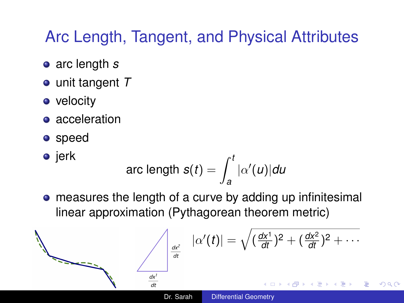# <span id="page-0-0"></span>Arc Length, Tangent, and Physical Attributes

- arc length *s*
- unit tangent *T*
- velocity
- acceleration
- speed

• jerk  
arc length 
$$
s(t) = \int_a^t |\alpha'(u)| du
$$

measures the length of a curve by adding up infinitesimal linear approximation (Pythagorean theorem metric)

$$
\alpha'(t) = \sqrt{(\frac{dx^1}{dt})^2 + (\frac{dx^2}{dt})^2 + \cdots}
$$
\n
$$
\frac{dx^1}{dt}
$$
\nDr. Sarah  
\nDifferential Geometry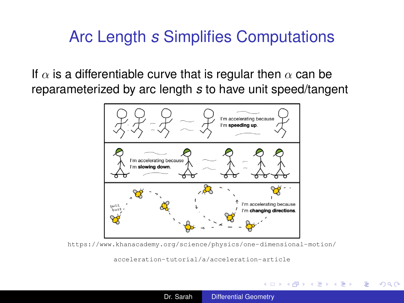## Arc Length *s* Simplifies Computations

If  $\alpha$  is a differentiable curve that is regular then  $\alpha$  can be reparameterized by arc length *s* to have unit speed/tangent



[https://www.khanacademy.org/science/physics/one-dimensional-motion/](https://www.khanacademy.org/science/physics/one-dimensional-motion/acceleration-tutorial/a/acceleration-article)

[acceleration-tutorial/a/acceleration-article](https://www.khanacademy.org/science/physics/one-dimensional-motion/acceleration-tutorial/a/acceleration-article)

イロメ イ押 メイヨメ イヨメ

 $2Q$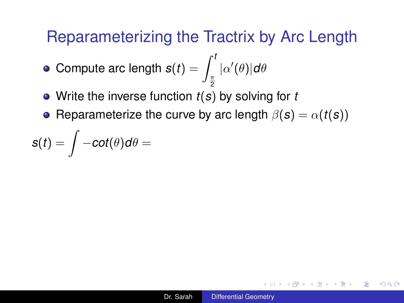- Compute arc length  $\boldsymbol{s}(t) = \int_{\pi}^{t} |\alpha'(\theta)|d\theta$
- 2 Write the inverse function *t*(*s*) by solving for *t*
- Reparameterize the curve by arc length  $\beta(s) = \alpha(t(s))$

$$
s(t) = \int -cot(\theta)d\theta =
$$

K ロ ▶ K 御 ▶ K ヨ ▶ K ヨ ▶ ...

D.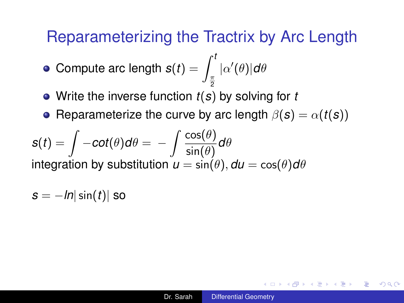- Compute arc length  $\boldsymbol{s}(t) = \int_{\pi}^{t} |\alpha'(\theta)|d\theta$
- 2 Write the inverse function *t*(*s*) by solving for *t*
- Reparameterize the curve by arc length  $\beta(s) = \alpha(t(s))$

$$
s(t) = \int -\cot(\theta)d\theta = -\int \frac{\cos(\theta)}{\sin(\theta)}d\theta
$$
  
integration by substitution  $u = \sin(\theta)$ ,  $du = \cos(\theta)d\theta$ 

$$
s = -\ln|\sin(t)|
$$
 so

**≮ロト ⊀何 ト ⊀ ヨ ト ⊀ ヨ ト** 

D.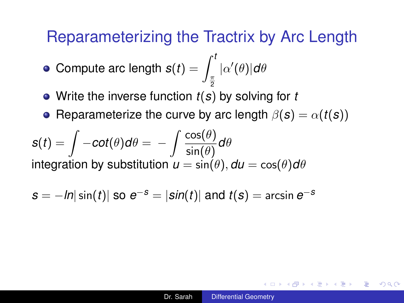2

- Compute arc length  $\boldsymbol{s}(t) = \int_{\pi}^{t} |\alpha'(\theta)|d\theta$
- Write the inverse function *t*(*s*) by solving for *t*
- Reparameterize the curve by arc length  $\beta(s) = \alpha(t(s))$

$$
s(t) = \int -\cot(\theta)d\theta = -\int \frac{\cos(\theta)}{\sin(\theta)}d\theta
$$
  
integration by substitution  $u = \sin(\theta)$ ,  $du = \cos(\theta)d\theta$ 

$$
s = -\ln|\sin(t)|
$$
 so  $e^{-s} = |\sin(t)|$  and  $t(s) = \arcsin e^{-s}$ 

**≮ロト ⊀何 ト ⊀ ヨ ト ⊀ ヨ ト** 

D.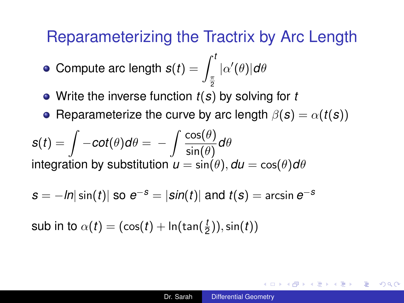- Compute arc length  $\boldsymbol{s}(t) = \int_{\pi}^{t} |\alpha'(\theta)|d\theta$
- 2 Write the inverse function *t*(*s*) by solving for *t*
- Reparameterize the curve by arc length  $\beta(s) = \alpha(t(s))$

$$
s(t) = \int -\cot(\theta)d\theta = -\int \frac{\cos(\theta)}{\sin(\theta)}d\theta
$$
  
integration by substitution  $u = \sin(\theta)$ ,  $du = \cos(\theta)d\theta$ 

$$
s = -\ln|\sin(t)|
$$
 so  $e^{-s} = |\sin(t)|$  and  $t(s) = \arcsin e^{-s}$ 

 $\mathsf{sub}$  in to  $\alpha(t) = (\cos(t) + \ln(\tan(\frac{t}{2})), \sin(t))$ 

K ロ X K @ X K 할 X K 할 X ( 할 X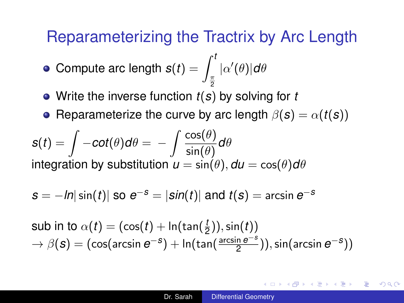- Compute arc length  $\boldsymbol{s}(t) = \int_{\pi}^{t} |\alpha'(\theta)|d\theta$
- 2 Write the inverse function *t*(*s*) by solving for *t*
- Reparameterize the curve by arc length  $\beta(s) = \alpha(t(s))$

$$
s(t) = \int -\cot(\theta)d\theta = -\int \frac{\cos(\theta)}{\sin(\theta)}d\theta
$$
  
integration by substitution  $u = \sin(\theta)$ ,  $du = \cos(\theta)d\theta$ 

$$
s = -\ln|\sin(t)|
$$
 so  $e^{-s} = |\sin(t)|$  and  $t(s) = \arcsin e^{-s}$ 

$$
\begin{array}{l} \textsf{sub in to} \ \alpha(t) = (\cos(t) + \ln(\tan(\frac{t}{2})), \sin(t)) \\ \rightarrow \ \beta(\bm{s}) = (\cos(\arcsin \bm{e}^{-\bm{s}}) + \ln(\tan(\frac{\arcsin \bm{e}^{-\bm{s}}}{2})), \sin(\arcsin \bm{e}^{-\bm{s}})) \end{array}
$$

K ロ ▶ K 御 ▶ K ヨ ▶ K ヨ ▶ ...

D.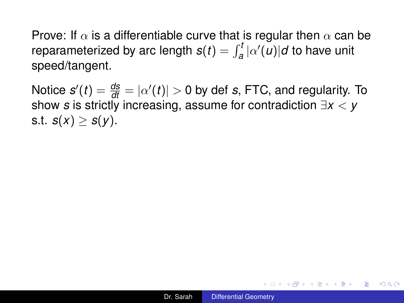Notice  $s'(t) = \frac{ds}{dt} = |\alpha'(t)| > 0$  by def *s*, FTC, and regularity. To show *s* is strictly increasing, assume for contradiction ∃*x* < *y s.t.*  $s(x) > s(y)$ .

イロト イ押 トイヨ トイヨ トーヨー

 $2990$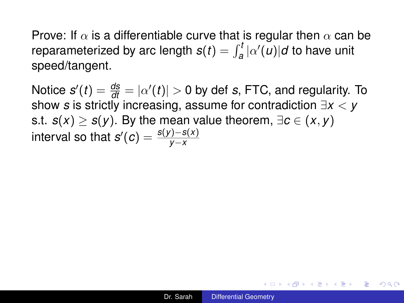Notice  $s'(t) = \frac{ds}{dt} = |\alpha'(t)| > 0$  by def *s*, FTC, and regularity. To show *s* is strictly increasing, assume for contradiction ∃*x* < *y* s.t.  $s(x) > s(y)$ . By the mean value theorem,  $\exists c \in (x, y)$  $\mathsf{interval}$  so that  $s'(c) = \frac{s(y)-s(x)}{y-x}$ 

イロト イ押 トイヨ トイヨ トーヨー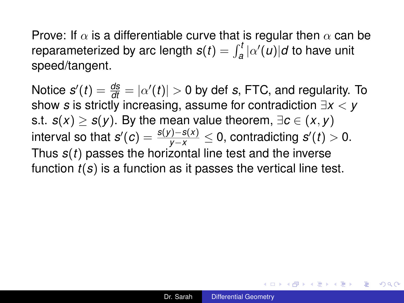Notice  $s'(t) = \frac{ds}{dt} = |\alpha'(t)| > 0$  by def *s*, FTC, and regularity. To show *s* is strictly increasing, assume for contradiction ∃*x* < *y* s.t. *s*(*x*) ≥ *s*(*y*). By the mean value theorem,  $∃c ∈ (x, y)$  $\frac{f(y)-f(x)}{y-x}\leq 0,$  contradicting  $s'(t)>0.$ Thus *s*(*t*) passes the horizontal line test and the inverse function *t*(*s*) is a function as it passes the vertical line test.

イロト イ伊 トイヨ トイヨ トー

 $\Rightarrow$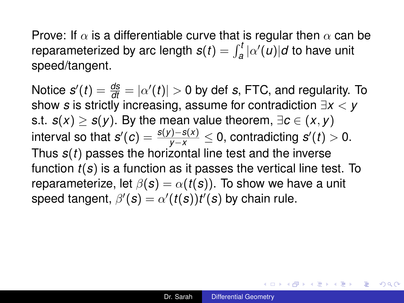Notice  $s'(t) = \frac{ds}{dt} = |\alpha'(t)| > 0$  by def *s*, FTC, and regularity. To show *s* is strictly increasing, assume for contradiction ∃*x* < *y* s.t. *s*(*x*) ≥ *s*(*y*). By the mean value theorem,  $∃c ∈ (x, y)$  $\frac{f(y)-f(x)}{y-x}\leq 0,$  contradicting  $s'(t)>0.$ Thus *s*(*t*) passes the horizontal line test and the inverse function *t*(*s*) is a function as it passes the vertical line test. To reparameterize, let  $\beta(s) = \alpha(t(s))$ . To show we have a unit speed tangent,  $\beta'(s) = \alpha'(t(s))t'(s)$  by chain rule.

イロト イ押 トイヨ トイヨ トーヨー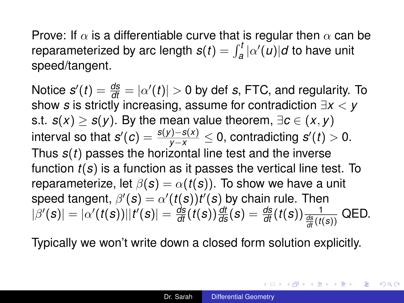Notice  $s'(t) = \frac{ds}{dt} = |\alpha'(t)| > 0$  by def *s*, FTC, and regularity. To show *s* is strictly increasing, assume for contradiction ∃*x* < *y* s.t. *s*(*x*) ≥ *s*(*y*). By the mean value theorem,  $∃c ∈ (x, y)$  $\frac{f(y)-f(x)}{y-x}\leq 0,$  contradicting  $s'(t)>0.$ Thus *s*(*t*) passes the horizontal line test and the inverse function *t*(*s*) is a function as it passes the vertical line test. To reparameterize, let  $\beta(s) = \alpha(t(s))$ . To show we have a unit speed tangent,  $\beta'(s) = \alpha'(t(s))t'(s)$  by chain rule. Then  $|\beta'(s)|=|\alpha'(t(s))||t'(s)|=\frac{d\mathbf{s}}{dt}(t(s))\frac{dt}{ds}(s)=\frac{d\mathbf{s}}{dt}(t(s))\frac{1}{\frac{d\mathbf{s}}{dt}(t(s))}\text{ QED}.$ 

Typically we won't write down a closed form solution explicitly.

K ロ X K 個 X K 差 X K 差 X (差 )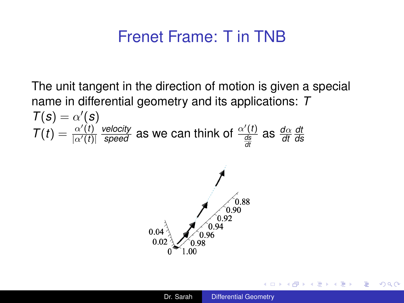#### Frenet Frame: T in TNB

The unit tangent in the direction of motion is given a special name in differential geometry and its applications: *T*  $T(s) = \alpha'(s)$  $\overline{T}(t) = \frac{\alpha'(t)}{|\alpha'(t)|}$  $|\alpha'(t)|$  $\frac{velocity}{speed}$  as we can think of  $\frac{\alpha'(t)}{\frac{ds}{dt}}$  as  $\frac{d\alpha}{dt}$ *dt ds*



 $\langle \oplus \rangle$  >  $\langle \oplus \rangle$  >  $\langle \oplus \rangle$ 

B